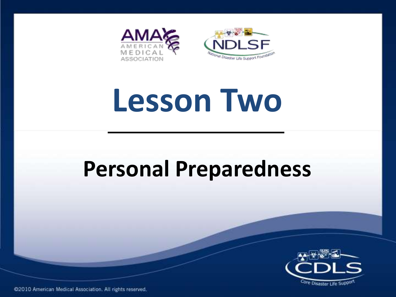

# **Lesson Two**

#### **Personal Preparedness**

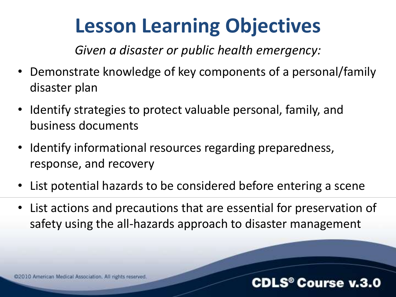#### **Lesson Learning Objectives**

*Given a disaster or public health emergency:*

- Demonstrate knowledge of key components of a personal/family disaster plan
- Identify strategies to protect valuable personal, family, and business documents
- Identify informational resources regarding preparedness, response, and recovery
- List potential hazards to be considered before entering a scene
- List actions and precautions that are essential for preservation of safety using the all-hazards approach to disaster management

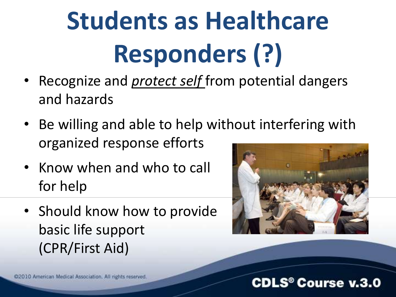# **Students as Healthcare Responders (?)**

- Recognize and *protect self* from potential dangers and hazards
- Be willing and able to help without interfering with organized response efforts
- Know when and who to call for help
- Should know how to provide basic life support (CPR/First Aid)



**CDLS® Course v.3.0**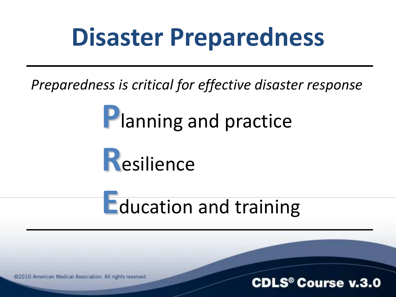### **Disaster Preparedness**

*Preparedness is critical for effective disaster response*

# **P**lanning and practice



## **E**ducation and training

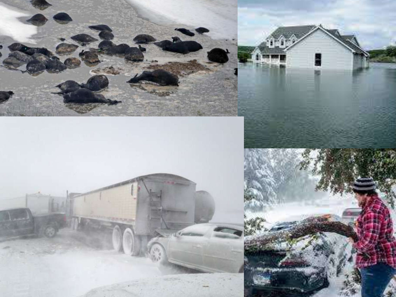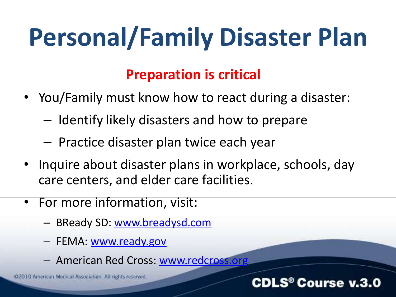# **Personal/Family Disaster Plan**

#### **Preparation is critical**

- You/Family must know how to react during a disaster:
	- Identify likely disasters and how to prepare
	- Practice disaster plan twice each year
- Inquire about disaster plans in workplace, schools, day care centers, and elder care facilities.
- For more information, visit:
	- BReady SD: [www.breadysd.com](http://www.breadysd.com/)
	- FEMA: [www.ready.gov](http://www.ready.gov/)
	- American Red Cross: [www.redcross.org](http://www.redcross.org/)

@2010 American Medical Association. All rights reserved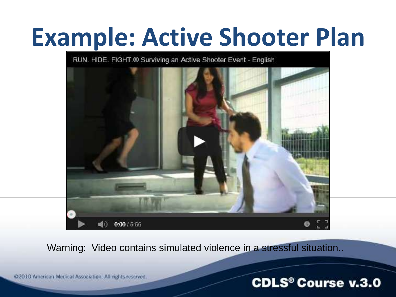### **Ex[ample: Active Shooter P](http://www.fbi.gov/about-us/cirg/active-shooter-and-mass-casualty-incidents/run-hide-fight-video)lan**

RUN. HIDE. FIGHT.® Surviving an Active Shooter Event - English



Warning: Video contains simulated violence in a stressful situation..

@2010 American Medical Association. All rights reserved.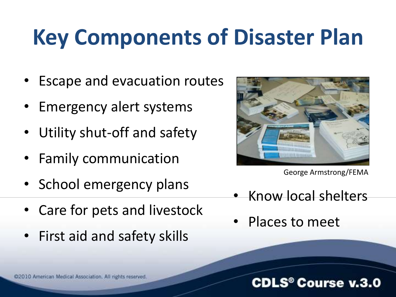#### **Key Components of Disaster Plan**

- Escape and evacuation routes
- Emergency alert systems
- Utility shut-off and safety
- Family communication
- School emergency plans
- Care for pets and livestock
- First aid and safety skills



George Armstrong/FEMA

- Know local shelters
- Places to meet

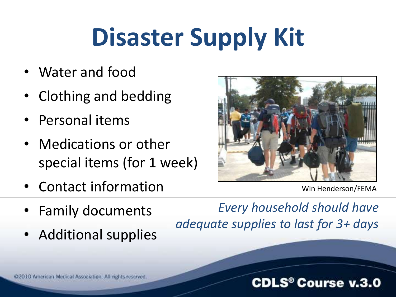# **Disaster Supply Kit**

- Water and food
- Clothing and bedding
- Personal items
- Medications or other special items (for 1 week)
- Contact information
- Family documents
- Additional supplies

*Every household should have adequate supplies to last for 3+ days*



**CDLS<sup>®</sup> Course v.3.0**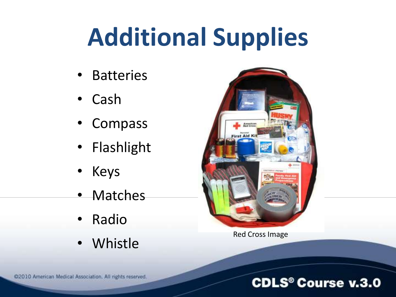# **Additional Supplies**

- **Batteries**
- Cash
- Compass
- Flashlight
- Keys
- **Matches**
- Radio
- Whistle



Red Cross Image

#### **CDLS<sup>®</sup> Course v.3.0**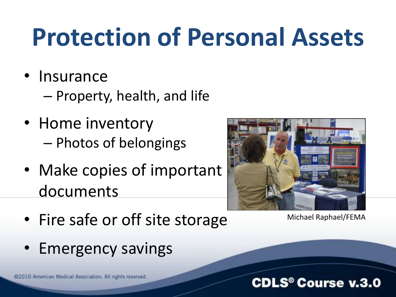## **Protection of Personal Assets**

- Insurance
	- Property, health, and life
- Home inventory – Photos of belongings
- Make copies of important documents



• Emergency savings

@2010 American Medical Association. All rights reserved.



Michael Raphael/FEMA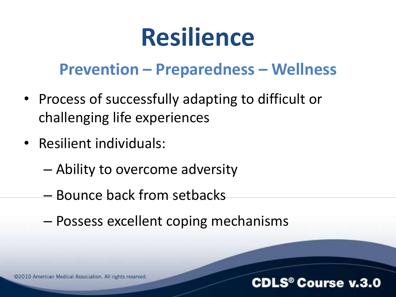### **Resilience**

#### **Prevention – Preparedness – Wellness**

- Process of successfully adapting to difficult or challenging life experiences
- Resilient individuals:
	- Ability to overcome adversity
	- Bounce back from setbacks
	- Possess excellent coping mechanisms



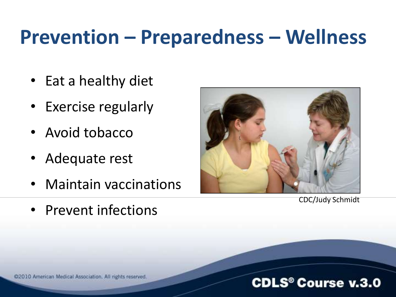#### **Prevention – Preparedness – Wellness**

- Eat a healthy diet
- Exercise regularly
- Avoid tobacco
- Adequate rest
- Maintain vaccinations
- Prevent infections



CDC/Judy Schmidt

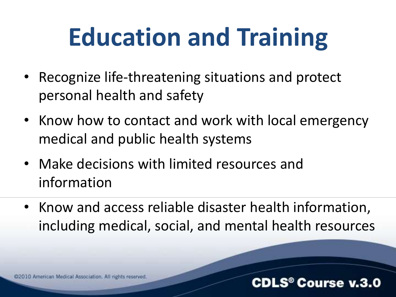# **Education and Training**

- Recognize life-threatening situations and protect personal health and safety
- Know how to contact and work with local emergency medical and public health systems
- Make decisions with limited resources and information
- Know and access reliable disaster health information, including medical, social, and mental health resources

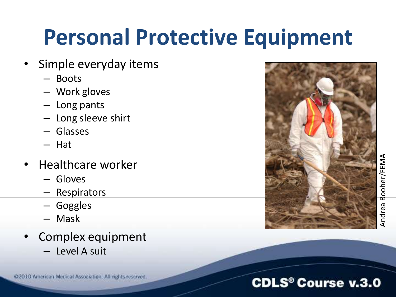#### **Personal Protective Equipment**

- Simple everyday items
	- Boots
	- Work gloves
	- Long pants
	- Long sleeve shirt
	- Glasses
	- Hat
- Healthcare worker
	- Gloves
	- Respirators
	- Goggles
	- Mask
- Complex equipment
	- Level A suit



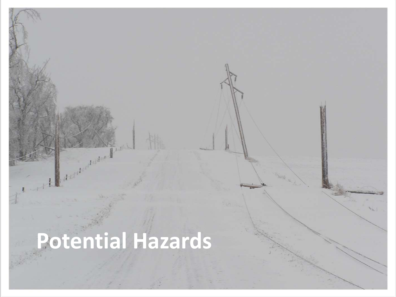# **Potential Hazards**

Le Charles I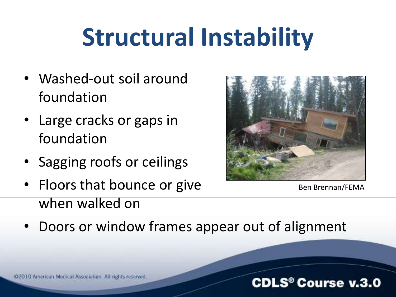# **Structural Instability**

- Washed-out soil around foundation
- Large cracks or gaps in foundation
- Sagging roofs or ceilings
- Floors that bounce or give when walked on



Ben Brennan/FEMA

• Doors or window frames appear out of alignment

@2010 American Medical Association. All rights reserved.

#### **CDLS® Course v.3.0**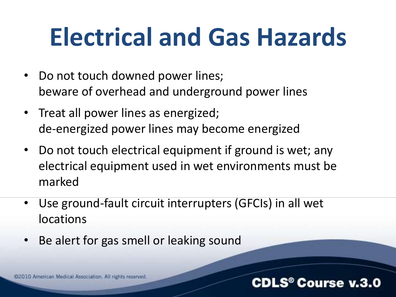## **Electrical and Gas Hazards**

- Do not touch downed power lines; beware of overhead and underground power lines
- Treat all power lines as energized; de-energized power lines may become energized
- Do not touch electrical equipment if ground is wet; any electrical equipment used in wet environments must be marked
- Use ground-fault circuit interrupters (GFCIs) in all wet locations
- Be alert for gas smell or leaking sound

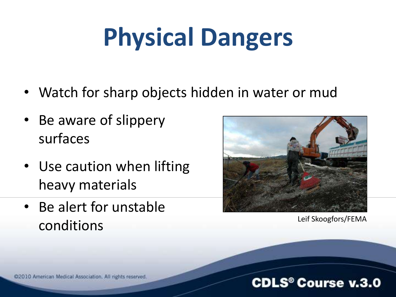# **Physical Dangers**

- Watch for sharp objects hidden in water or mud
- Be aware of slippery surfaces
- Use caution when lifting heavy materials
- Be alert for unstable conditions Leif Skoogfors/FEMA



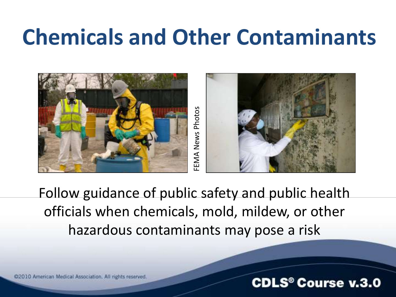#### **Chemicals and Other Contaminants**



Follow guidance of public safety and public health officials when chemicals, mold, mildew, or other

@2010 American Medical Association. All rights reserved.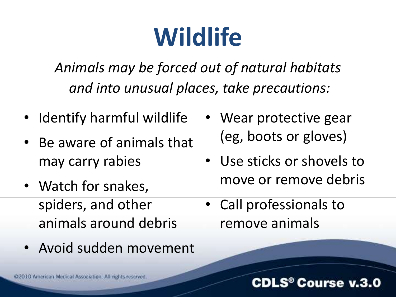### **Wildlife**

*Animals may be forced out of natural habitats and into unusual places, take precautions:*

- Identify harmful wildlife
- Be aware of animals that may carry rabies
- Watch for snakes, spiders, and other animals around debris
- Avoid sudden movement
- Wear protective gear (eg, boots or gloves)
- Use sticks or shovels to move or remove debris
- Call professionals to remove animals

#### **CDLS® Course v.3.0**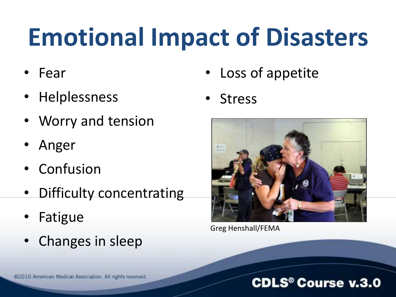# **Emotional Impact of Disasters**

- Fear
- Helplessness
- Worry and tension
- Anger
- Confusion
- Difficulty concentrating
- **Fatigue**
- Changes in sleep
- Loss of appetite
- Stress



Greg Henshall/FEMA

#### **CDLS<sup>®</sup> Course v.3.0**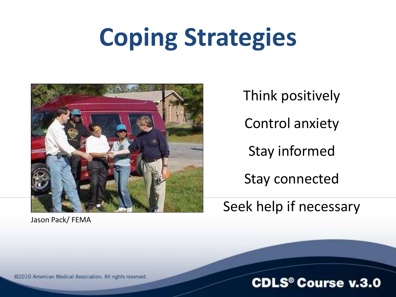## **Coping Strategies**



Jason Pack/ FEMA

Think positively Control anxiety Stay informed Stay connected Seek help if necessary

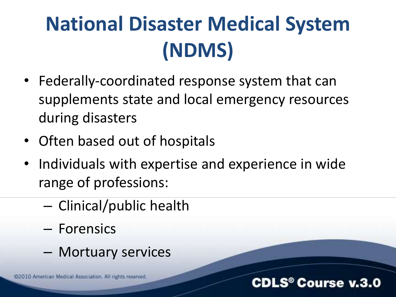#### **National Disaster Medical System (NDMS)**

- Federally-coordinated response system that can supplements state and local emergency resources during disasters
- Often based out of hospitals
- Individuals with expertise and experience in wide range of professions:
	- Clinical/public health
	- Forensics
	- Mortuary services

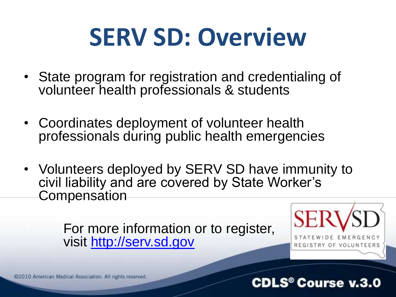## **SERV SD: Overview**

- State program for registration and credentialing of volunteer health professionals & students
- Coordinates deployment of volunteer health professionals during public health emergencies
- Volunteers deployed by SERV SD have immunity to civil liability and are covered by State Worker's **Compensation**

For more information or to register, visit [http://serv.sd.gov](http://serv.sd.gov/)



**CDLS<sup>®</sup> Course v.3.0**